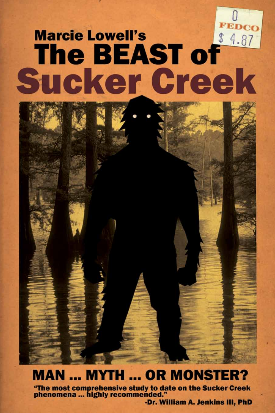# FEDCO The BEAST of **Marcie Lowell's Sucker Creek**

### **MAN ... MYTH ... OR MONSTER?**

"The most comprehensive study to date on the Sucker Creek<br>phenomena ... highly recommended."

-Dr. William A. Jenkins III, PhD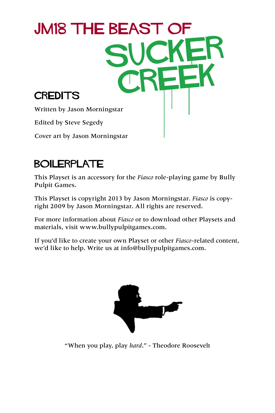

### BOILERPLATE

This Playset is an accessory for the *Fiasco* role-playing game by Bully Pulpit Games.

This Playset is copyright 2013 by Jason Morningstar. *Fiasco* is copyright 2009 by Jason Morningstar. All rights are reserved.

For more information about *Fiasco* or to download other Playsets and materials, visit [www.bullypulpitgames.com](http://www.bullypulpitgames.com).

If you'd like to create your own Playset or other *Fiasco*-related content, we'd like to help. Write us at [info@bullypulpitgames.com.](mailto:info%40bullypulpitgames.com?subject=)



"When you play, play *hard*." - Theodore Roosevelt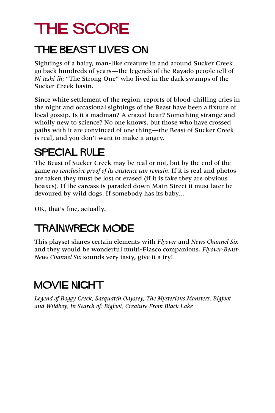### THE SCORE

### THE BEAST LIVES ON

Sightings of a hairy, man-like creature in and around Sucker Creek go back hundreds of years—the legends of the Rayado people tell of *Ni-teshi-ih*; "The Strong One" who lived in the dark swamps of the Sucker Creek basin.

Since white settlement of the region, reports of blood-chilling cries in the night and occasional sightings of the Beast have been a fixture of local gossip. Is it a madman? A crazed bear? Something strange and wholly new to science? No one knows, but those who have crossed paths with it are convinced of one thing—the Beast of Sucker Creek is real, and you don't want to make it angry.

### SPECIAL RULE

The Beast of Sucker Creek may be real or not, but by the end of the game *no conclusive proof of its existence can remain.* If it is real and photos are taken they must be lost or erased (if it is fake they are obvious hoaxes). If the carcass is paraded down Main Street it must later be devoured by wild dogs. If somebody has its baby…

OK, that's fine, actually.

### TRAINWRECK MODE

This playset shares certain elements with *Flyover* and *News Channel Six* and they would be wonderful multi-Fiasco companions. *Flyover-Beast-News Channel Six* sounds very tasty, give it a try!

### MOVIE NIGHT

*Legend of Boggy Creek, Sasquatch Odyssey, The Mysterious Monsters, Bigfoot and Wildboy, In Search of: Bigfoot, Creature From Black Lake*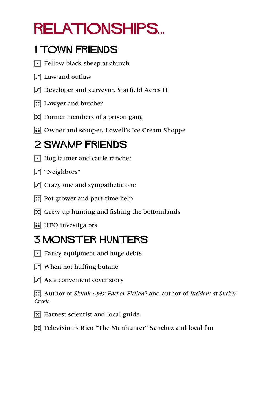# relationships...

### 1 TOWN FRIENDS

- $\lceil \cdot \rceil$  Fellow black sheep at church
- $\Gamma$  Law and outlaw
- $\ddot{\cdot}$  Developer and surveyor, Starfield Acres II
- **1**: Lawyer and butcher
- $\mathbb{E}$  Former members of a prison gang
- **11 Owner and scooper, Lowell's Ice Cream Shoppe**

### 2 SWAMP FRIENDS

- $\lceil \cdot \rceil$  Hog farmer and cattle rancher
- $\Gamma$  "Neighbors"
- $\Gamma$  Crazy one and sympathetic one
- $\boxed{\therefore}$  Pot grower and part-time help
- $\mathbb{E}$  Grew up hunting and fishing the bottomlands
- **1** UFO investigators

### 3 MONSTER HUNTERS

- $\lceil \cdot \rceil$  Fancy equipment and huge debts
- $\Gamma$  When not huffing butane
- $\cdot$  As a convenient cover story

4 Author of *Skunk Apes: Fact or Fiction?* and author of *Incident at Sucker Creek*

- $\mathbb{E}$  Earnest scientist and local guide
- **FEE** Television's Rico "The Manhunter" Sanchez and local fan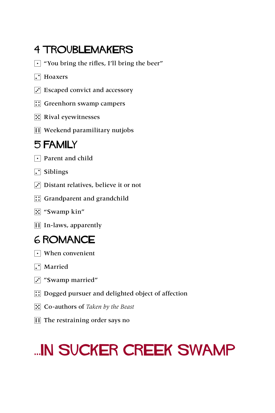### 4 TROUBLEMAKERS

 $\lceil \cdot \rceil$  "You bring the rifles, I'll bring the beer"

#### **7** Hoaxers

- $\Gamma$  Escaped convict and accessory
- **::** Greenhorn swamp campers
- $\mathbb{E}$  Rival eyewitnesses
- $\Xi$  Weekend paramilitary nutjobs

#### 5 FAMILY

- $\lceil \cdot \rceil$  Parent and child
- $\Gamma$  Siblings
- $\Gamma$  Distant relatives, believe it or not
- $\boxed{\therefore}$  Grandparent and grandchild
- 5 "Swamp kin"
- **1** In-laws, apparently

#### 6 ROMANCE

- $\lceil \cdot \rceil$  When convenient
- $\Gamma$  Married
- $\overline{S}$  "Swamp married"
- $\boxed{\therefore}$  Dogged pursuer and delighted object of affection
- 5 Co-authors of *Taken by the Beast*
- $\boxed{ii}$  The restraining order says no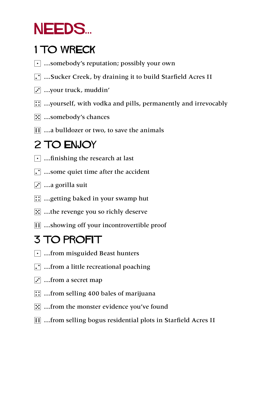### NEEDS...

### 1 TO WRECK

- $\lceil \cdot \rceil$  ...somebody's reputation; possibly your own
- 2 …Sucker Creek, by draining it to build Starfield Acres II
- $\left[\cdot\right]$  ...your truck, muddin'
- 4 …yourself, with vodka and pills, permanently and irrevocably
- 5 …somebody's chances
- **11** ... a bulldozer or two, to save the animals

### 2 TO ENJOY

- $\lceil \cdot \rceil$  ... finishing the research at last
- $\Gamma$  ...some quiet time after the accident
- $\mathbf{3}$  ...a gorilla suit
- $\mathbb{G}$  ... getting baked in your swamp hut
- $\mathbb{E}$  ...the revenge you so richly deserve
- **11** ...showing off your incontrovertible proof

### 3 TO PROFIT

- $\lceil \cdot \rceil$  ... from misguided Beast hunters
- $\Gamma$  ... from a little recreational poaching
- $\overline{3}$  ... from a secret map
- $\boxed{::}$  ... from selling 400 bales of marijuana
- **F.** ... from the monster evidence you've found
- **11** ...from selling bogus residential plots in Starfield Acres II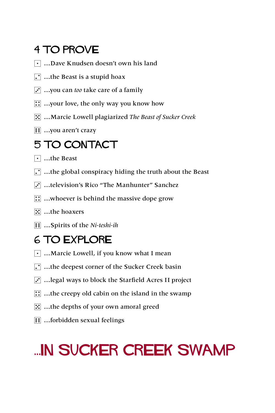### 4 TO PROVE

- 1 …Dave Knudsen doesn't own his land
- $\Gamma$  ...the Beast is a stupid hoax
- 3 …you can *too* take care of a family
- $\boxed{\therefore}$  …your love, the only way you know how
- 5 …Marcie Lowell plagiarized *The Beast of Sucker Creek*
- $\mathbf{F}$  ... you aren't crazy

### 5 TO CONTACT

- $\lceil \cdot \rceil$  …the Beast
- $\cdot$  ...the global conspiracy hiding the truth about the Beast
- 3 …television's Rico "The Manhunter" Sanchez
- $\mathbb{G}$  ...whoever is behind the massive dope grow
- **E** …the hoaxers
- 6 …Spirits of the *Ni-teshi-ih*

### 6 TO EXPLORE

- $\lceil \cdot \rceil$  ... Marcie Lowell, if you know what I mean
- $\Gamma$  ...the deepest corner of the Sucker Creek basin
- $\ddot{\cdot}$  ... legal ways to block the Starfield Acres II project
- $\therefore$  ...the creepy old cabin on the island in the swamp
- $\mathbb{E}$  ...the depths of your own amoral greed
- **1** …forbidden sexual feelings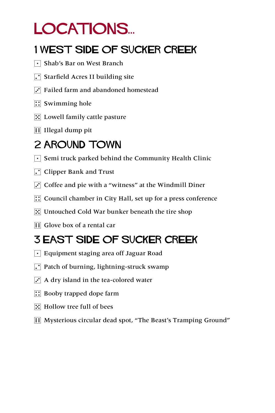### LOCATIONS...

### 1 WEST SIDE OF SUCKER CREEK

- 1 Shab's Bar on West Branch
- $\Gamma$  Starfield Acres II building site
- $\Gamma$  Failed farm and abandoned homestead
- $\boxed{\therefore}$  Swimming hole
- $\mathbb{E}$  Lowell family cattle pasture
- $\boxed{\vdots}$  Illegal dump pit

### 2 AROUND TOWN

- $\lceil \cdot \rceil$  Semi truck parked behind the Community Health Clinic
- $\Gamma$  Clipper Bank and Trust
- $\overline{S}$  Coffee and pie with a "witness" at the Windmill Diner
- $\left| \right|$ : Council chamber in City Hall, set up for a press conference
- $\mathbb{E}$  Untouched Cold War bunker beneath the tire shop
- **1** Glove box of a rental car

### 3 EAST SIDE OF SUCKER CREEK

- $\lceil \cdot \rceil$  Equipment staging area off Jaguar Road
- $\Gamma$  Patch of burning, lightning-struck swamp
- $\vec{r}$  A dry island in the tea-colored water
- $\mathbb{R}$  Booby trapped dope farm
- $\mathbb{E}$  Hollow tree full of bees
- 6 Mysterious circular dead spot, "The Beast's Tramping Ground"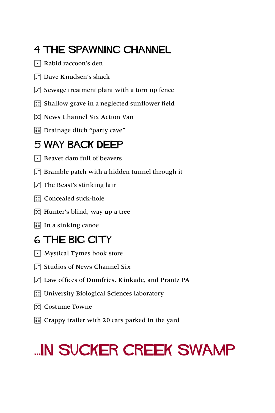### 4 THE SPAWNING CHANNEL

- $\lceil \cdot \rceil$  Rabid raccoon's den
- **Dave Knudsen's shack**
- $\ddot{\cdot}$  Sewage treatment plant with a torn up fence
- $\left| \right\rangle$ : Shallow grave in a neglected sunflower field
- 5 News Channel Six Action Van
- **1** Drainage ditch "party cave"

#### 5 WAY BACK DEEP

- $\lceil \cdot \rceil$  Beaver dam full of beavers
- $\Gamma$  Bramble patch with a hidden tunnel through it
- $\Gamma$  The Beast's stinking lair
- **1**: Concealed suck-hole
- $\mathbb{E}$  Hunter's blind, way up a tree
- **1** In a sinking canoe

#### 6 THE BIG CITY

- $\lceil \cdot \rceil$  Mystical Tymes book store
- **7** Studios of News Channel Six
- 3 Law offices of Dumfries, Kinkade, and Prantz PA
- **1.** University Biological Sciences laboratory
- **1.** Costume Towne
- **11** Crappy trailer with 20 cars parked in the yard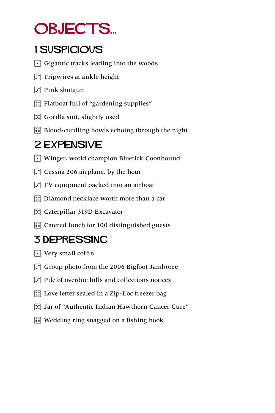### OBJECTS...

### 1 Suspicious

- $\lceil \cdot \rceil$  Gigantic tracks leading into the woods
- $\Gamma$  Tripwires at ankle height
- $\overline{S}$  Pink shotgun
- $\boxed{\therefore}$  Flatboat full of "gardening supplies"
- $\mathbb{E}$  Gorilla suit, slightly used
- **EXECUTE:** Blood-curdling howls echoing through the night

### 2 EXPENSIVE

- Winger, world champion Bluetick Coonhound
- $\Gamma$  Cessna 206 airplane, by the hour
- $\cdot$  TV equipment packed into an airboat
- $\therefore$  Diamond necklace worth more than a car
- **E** Caterpillar 319D Excavator
- **11** Catered lunch for 100 distinguished guests

### 3 DEPRESSING

- $\lceil \cdot \rceil$  Very small coffin
- $\Gamma$  Group photo from the 2006 Bigfoot Jamboree
- $\vec{v}$  Pile of overdue bills and collections notices
- $\boxed{\therefore}$  Love letter sealed in a Zip-Loc freezer bag
- $\boxed{3}$  Jar of "Authentic Indian Hawthorn Cancer Cure"
- **11** Wedding ring snagged on a fishing hook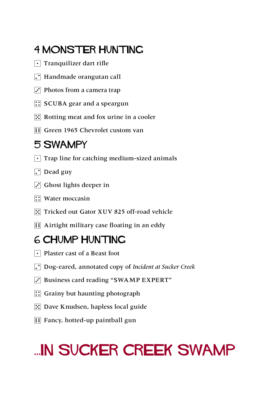### 4 MONSTER HUNTING

- $\lceil \cdot \rceil$  Tranquilizer dart rifle
- $\Gamma$  Handmade orangutan call
- $\overline{3}$  Photos from a camera trap
- $\boxed{\therefore}$  SCUBA gear and a speargun
- $\mathbb{E}$  Rotting meat and fox urine in a cooler
- **11 Green 1965 Chevrolet custom van**

#### 5 SWAMPY

- $\lceil \cdot \rceil$  Trap line for catching medium-sized animals
- $\Gamma$  Dead guy
- $\overline{S}$  Ghost lights deeper in
- $\left| \right|$  Water moccasin
- **5.** Tricked out Gator XUV 825 off-road vehicle
- **Fi** Airtight military case floating in an eddy

### 6 CHUMP HUNTING

- $\lceil \cdot \rceil$  Plaster cast of a Beast foot
- 2 Dog-eared, annotated copy of *Incident at Sucker Creek*
- $\overline{3}$  Business card reading "SWAMP EXPERT"
- $\mathbb{R}$  Grainy but haunting photograph
- 5 Dave Knudsen, hapless local guide
- **Fill Fancy, hotted-up paintball gun**